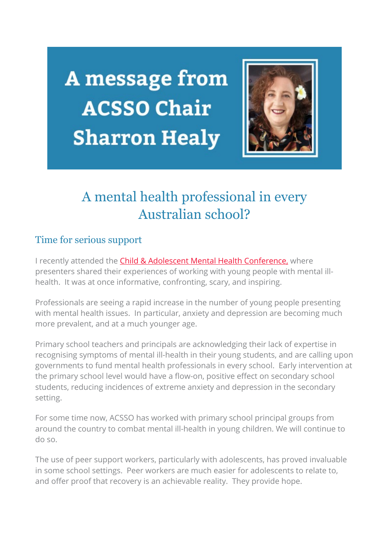A message from **ACSSO Chair Sharron Healy** 



# A mental health professional in every Australian school?

## Time for serious support

I recently attended the [Child & Adolescent Mental Health Conference,](https://acsso.createsend1.com/t/i-l-mkttln-l-o/) where presenters shared their experiences of working with young people with mental illhealth. It was at once informative, confronting, scary, and inspiring.

Professionals are seeing a rapid increase in the number of young people presenting with mental health issues. In particular, anxiety and depression are becoming much more prevalent, and at a much younger age.

Primary school teachers and principals are acknowledging their lack of expertise in recognising symptoms of mental ill-health in their young students, and are calling upon governments to fund mental health professionals in every school. Early intervention at the primary school level would have a flow-on, positive effect on secondary school students, reducing incidences of extreme anxiety and depression in the secondary setting.

For some time now, ACSSO has worked with primary school principal groups from around the country to combat mental ill-health in young children. We will continue to do so.

The use of peer support workers, particularly with adolescents, has proved invaluable in some school settings. Peer workers are much easier for adolescents to relate to, and offer proof that recovery is an achievable reality. They provide hope.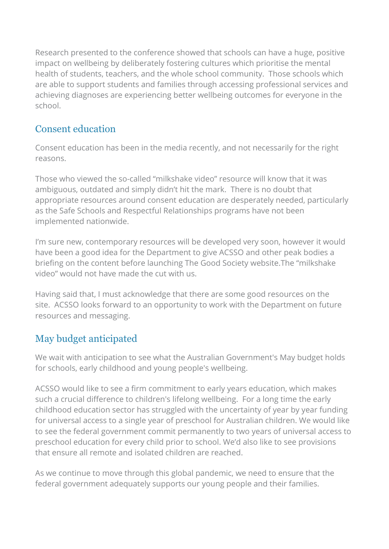Research presented to the conference showed that schools can have a huge, positive impact on wellbeing by deliberately fostering cultures which prioritise the mental health of students, teachers, and the whole school community. Those schools which are able to support students and families through accessing professional services and achieving diagnoses are experiencing better wellbeing outcomes for everyone in the school.

## Consent education

Consent education has been in the media recently, and not necessarily for the right reasons.

Those who viewed the so-called "milkshake video" resource will know that it was ambiguous, outdated and simply didn't hit the mark. There is no doubt that appropriate resources around consent education are desperately needed, particularly as the Safe Schools and Respectful Relationships programs have not been implemented nationwide.

I'm sure new, contemporary resources will be developed very soon, however it would have been a good idea for the Department to give ACSSO and other peak bodies a briefing on the content before launching The Good Society website.The "milkshake video" would not have made the cut with us.

Having said that, I must acknowledge that there are some good resources on the site. ACSSO looks forward to an opportunity to work with the Department on future resources and messaging.

# May budget anticipated

We wait with anticipation to see what the Australian Government's May budget holds for schools, early childhood and young people's wellbeing.

ACSSO would like to see a firm commitment to early years education, which makes such a crucial difference to children's lifelong wellbeing. For a long time the early childhood education sector has struggled with the uncertainty of year by year funding for universal access to a single year of preschool for Australian children. We would like to see the federal government commit permanently to two years of universal access to preschool education for every child prior to school. We'd also like to see provisions that ensure all remote and isolated children are reached.

As we continue to move through this global pandemic, we need to ensure that the federal government adequately supports our young people and their families.